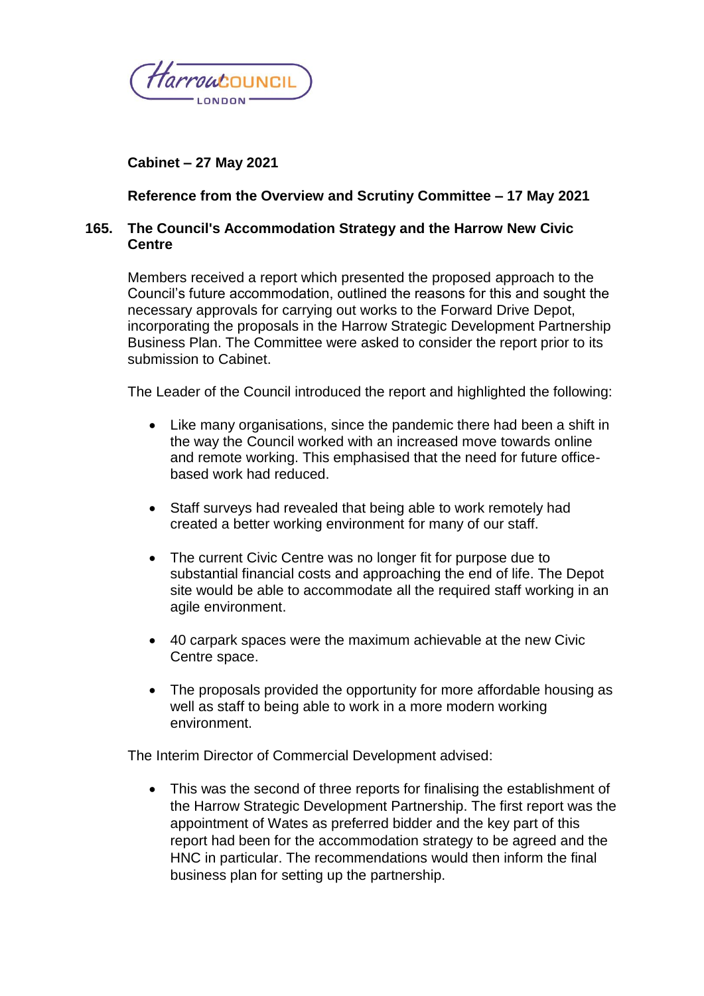

# **Cabinet – 27 May 2021**

## **Reference from the Overview and Scrutiny Committee – 17 May 2021**

### **165. The Council's Accommodation Strategy and the Harrow New Civic Centre**

Members received a report which presented the proposed approach to the Council's future accommodation, outlined the reasons for this and sought the necessary approvals for carrying out works to the Forward Drive Depot, incorporating the proposals in the Harrow Strategic Development Partnership Business Plan. The Committee were asked to consider the report prior to its submission to Cabinet.

The Leader of the Council introduced the report and highlighted the following:

- Like many organisations, since the pandemic there had been a shift in the way the Council worked with an increased move towards online and remote working. This emphasised that the need for future officebased work had reduced.
- Staff surveys had revealed that being able to work remotely had created a better working environment for many of our staff.
- The current Civic Centre was no longer fit for purpose due to substantial financial costs and approaching the end of life. The Depot site would be able to accommodate all the required staff working in an agile environment.
- 40 carpark spaces were the maximum achievable at the new Civic Centre space.
- The proposals provided the opportunity for more affordable housing as well as staff to being able to work in a more modern working environment.

The Interim Director of Commercial Development advised:

• This was the second of three reports for finalising the establishment of the Harrow Strategic Development Partnership. The first report was the appointment of Wates as preferred bidder and the key part of this report had been for the accommodation strategy to be agreed and the HNC in particular. The recommendations would then inform the final business plan for setting up the partnership.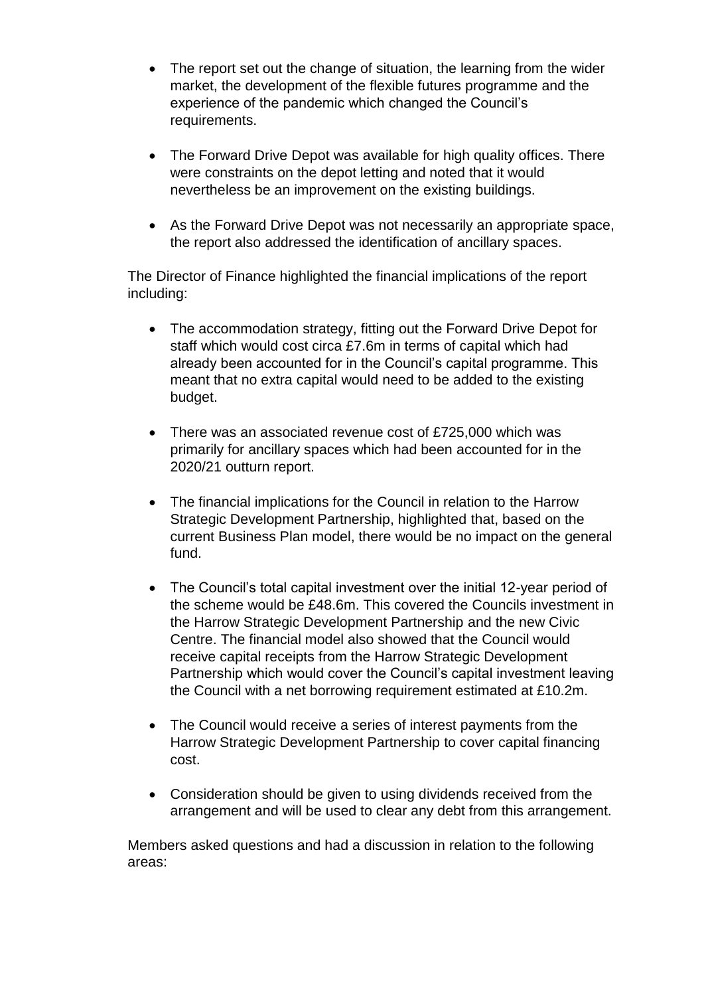- The report set out the change of situation, the learning from the wider market, the development of the flexible futures programme and the experience of the pandemic which changed the Council's requirements.
- The Forward Drive Depot was available for high quality offices. There were constraints on the depot letting and noted that it would nevertheless be an improvement on the existing buildings.
- As the Forward Drive Depot was not necessarily an appropriate space, the report also addressed the identification of ancillary spaces.

The Director of Finance highlighted the financial implications of the report including:

- The accommodation strategy, fitting out the Forward Drive Depot for staff which would cost circa £7.6m in terms of capital which had already been accounted for in the Council's capital programme. This meant that no extra capital would need to be added to the existing budget.
- There was an associated revenue cost of £725,000 which was primarily for ancillary spaces which had been accounted for in the 2020/21 outturn report.
- The financial implications for the Council in relation to the Harrow Strategic Development Partnership, highlighted that, based on the current Business Plan model, there would be no impact on the general fund.
- The Council's total capital investment over the initial 12-year period of the scheme would be £48.6m. This covered the Councils investment in the Harrow Strategic Development Partnership and the new Civic Centre. The financial model also showed that the Council would receive capital receipts from the Harrow Strategic Development Partnership which would cover the Council's capital investment leaving the Council with a net borrowing requirement estimated at £10.2m.
- The Council would receive a series of interest payments from the Harrow Strategic Development Partnership to cover capital financing cost.
- Consideration should be given to using dividends received from the arrangement and will be used to clear any debt from this arrangement.

Members asked questions and had a discussion in relation to the following areas: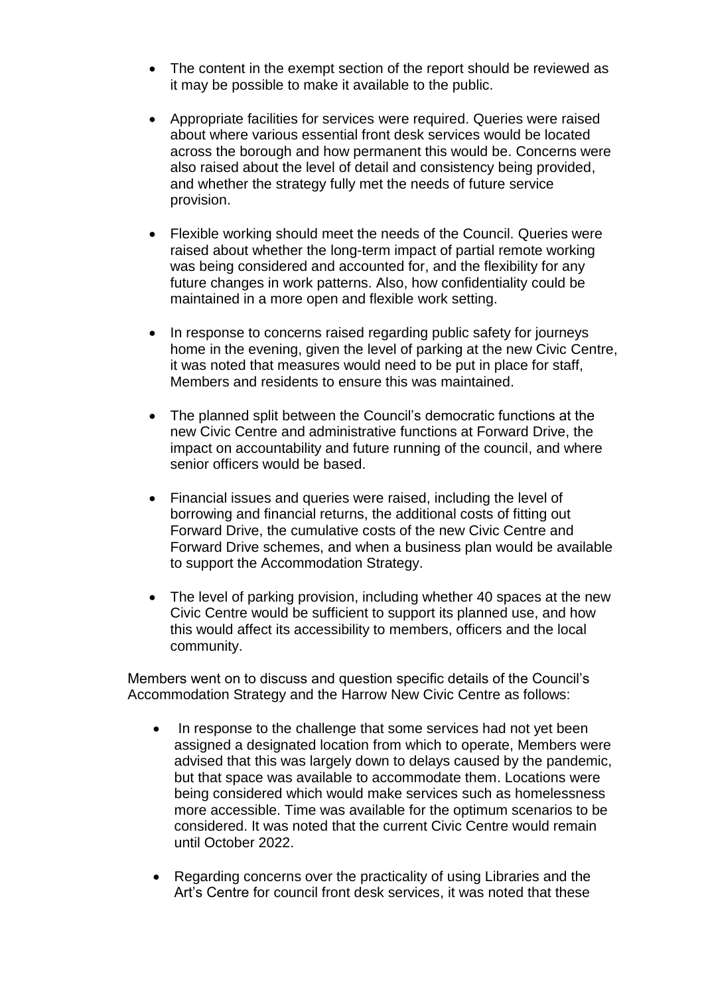- The content in the exempt section of the report should be reviewed as it may be possible to make it available to the public.
- Appropriate facilities for services were required. Queries were raised about where various essential front desk services would be located across the borough and how permanent this would be. Concerns were also raised about the level of detail and consistency being provided, and whether the strategy fully met the needs of future service provision.
- Flexible working should meet the needs of the Council. Queries were raised about whether the long-term impact of partial remote working was being considered and accounted for, and the flexibility for any future changes in work patterns. Also, how confidentiality could be maintained in a more open and flexible work setting.
- In response to concerns raised regarding public safety for journeys home in the evening, given the level of parking at the new Civic Centre, it was noted that measures would need to be put in place for staff, Members and residents to ensure this was maintained.
- The planned split between the Council's democratic functions at the new Civic Centre and administrative functions at Forward Drive, the impact on accountability and future running of the council, and where senior officers would be based.
- Financial issues and queries were raised, including the level of borrowing and financial returns, the additional costs of fitting out Forward Drive, the cumulative costs of the new Civic Centre and Forward Drive schemes, and when a business plan would be available to support the Accommodation Strategy.
- The level of parking provision, including whether 40 spaces at the new Civic Centre would be sufficient to support its planned use, and how this would affect its accessibility to members, officers and the local community.

Members went on to discuss and question specific details of the Council's Accommodation Strategy and the Harrow New Civic Centre as follows:

- In response to the challenge that some services had not yet been assigned a designated location from which to operate, Members were advised that this was largely down to delays caused by the pandemic, but that space was available to accommodate them. Locations were being considered which would make services such as homelessness more accessible. Time was available for the optimum scenarios to be considered. It was noted that the current Civic Centre would remain until October 2022.
- Regarding concerns over the practicality of using Libraries and the Art's Centre for council front desk services, it was noted that these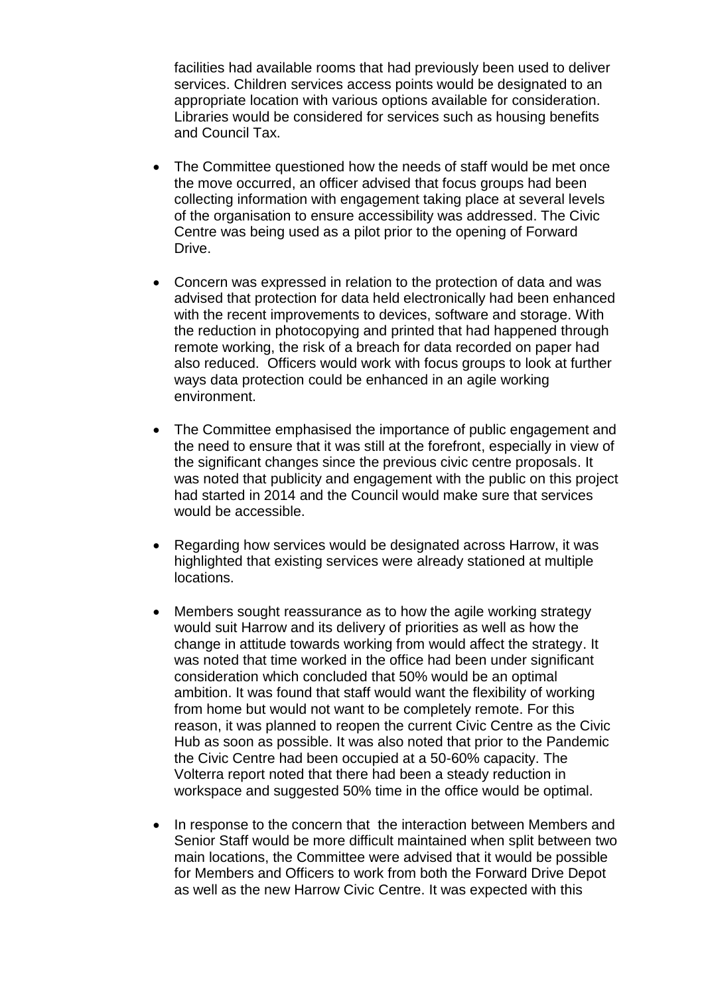facilities had available rooms that had previously been used to deliver services. Children services access points would be designated to an appropriate location with various options available for consideration. Libraries would be considered for services such as housing benefits and Council Tax.

- The Committee questioned how the needs of staff would be met once the move occurred, an officer advised that focus groups had been collecting information with engagement taking place at several levels of the organisation to ensure accessibility was addressed. The Civic Centre was being used as a pilot prior to the opening of Forward Drive.
- Concern was expressed in relation to the protection of data and was advised that protection for data held electronically had been enhanced with the recent improvements to devices, software and storage. With the reduction in photocopying and printed that had happened through remote working, the risk of a breach for data recorded on paper had also reduced. Officers would work with focus groups to look at further ways data protection could be enhanced in an agile working environment.
- The Committee emphasised the importance of public engagement and the need to ensure that it was still at the forefront, especially in view of the significant changes since the previous civic centre proposals. It was noted that publicity and engagement with the public on this project had started in 2014 and the Council would make sure that services would be accessible.
- Regarding how services would be designated across Harrow, it was highlighted that existing services were already stationed at multiple locations.
- Members sought reassurance as to how the agile working strategy would suit Harrow and its delivery of priorities as well as how the change in attitude towards working from would affect the strategy. It was noted that time worked in the office had been under significant consideration which concluded that 50% would be an optimal ambition. It was found that staff would want the flexibility of working from home but would not want to be completely remote. For this reason, it was planned to reopen the current Civic Centre as the Civic Hub as soon as possible. It was also noted that prior to the Pandemic the Civic Centre had been occupied at a 50-60% capacity. The Volterra report noted that there had been a steady reduction in workspace and suggested 50% time in the office would be optimal.
- In response to the concern that the interaction between Members and Senior Staff would be more difficult maintained when split between two main locations, the Committee were advised that it would be possible for Members and Officers to work from both the Forward Drive Depot as well as the new Harrow Civic Centre. It was expected with this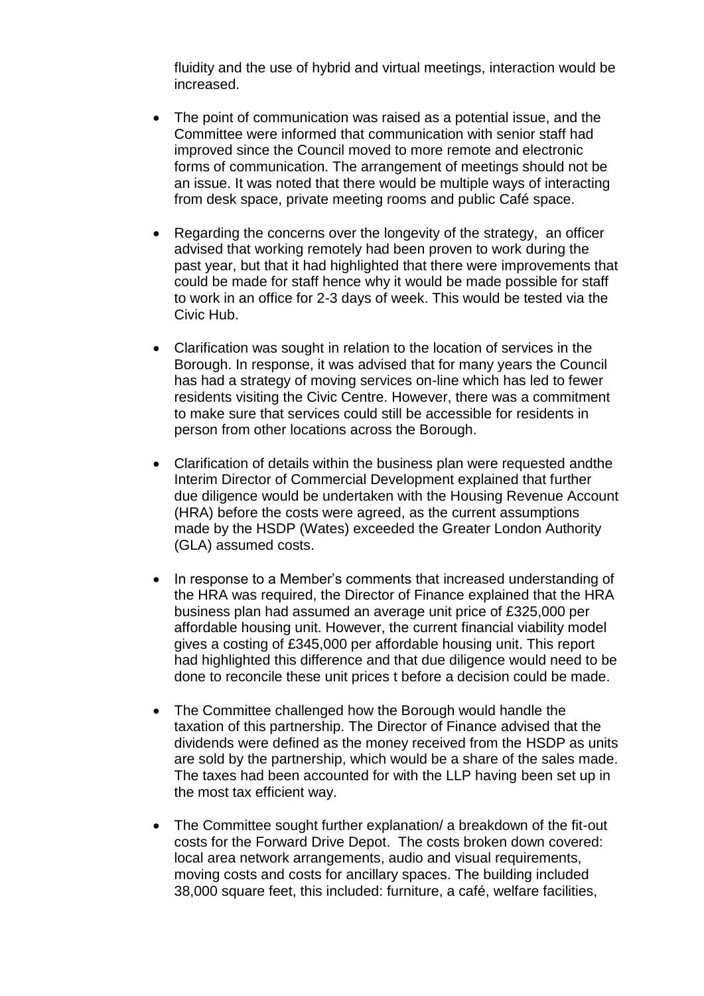fluidity and the use of hybrid and virtual meetings, interaction would be increased.

- The point of communication was raised as a potential issue, and the Committee were informed that communication with senior staff had improved since the Council moved to more remote and electronic forms of communication. The arrangement of meetings should not be an issue. It was noted that there would be multiple ways of interacting from desk space, private meeting rooms and public Café space.
- Regarding the concerns over the longevity of the strategy, an officer advised that working remotely had been proven to work during the past year, but that it had highlighted that there were improvements that could be made for staff hence why it would be made possible for staff to work in an office for 2-3 days of week. This would be tested via the Civic Hub.
- Clarification was sought in relation to the location of services in the Borough. In response, it was advised that for many years the Council has had a strategy of moving services on-line which has led to fewer residents visiting the Civic Centre. However, there was a commitment to make sure that services could still be accessible for residents in person from other locations across the Borough.
- Clarification of details within the business plan were requested andthe Interim Director of Commercial Development explained that further due diligence would be undertaken with the Housing Revenue Account (HRA) before the costs were agreed, as the current assumptions made by the HSDP (Wates) exceeded the Greater London Authority (GLA) assumed costs.
- In response to a Member's comments that increased understanding of the HRA was required, the Director of Finance explained that the HRA business plan had assumed an average unit price of £325,000 per affordable housing unit. However, the current financial viability model gives a costing of £345,000 per affordable housing unit. This report had highlighted this difference and that due diligence would need to be done to reconcile these unit prices t before a decision could be made.
- The Committee challenged how the Borough would handle the taxation of this partnership. The Director of Finance advised that the dividends were defined as the money received from the HSDP as units are sold by the partnership, which would be a share of the sales made. The taxes had been accounted for with the LLP having been set up in the most tax efficient way.
- The Committee sought further explanation/ a breakdown of the fit-out costs for the Forward Drive Depot. The costs broken down covered: local area network arrangements, audio and visual requirements, moving costs and costs for ancillary spaces. The building included 38,000 square feet, this included: furniture, a café, welfare facilities,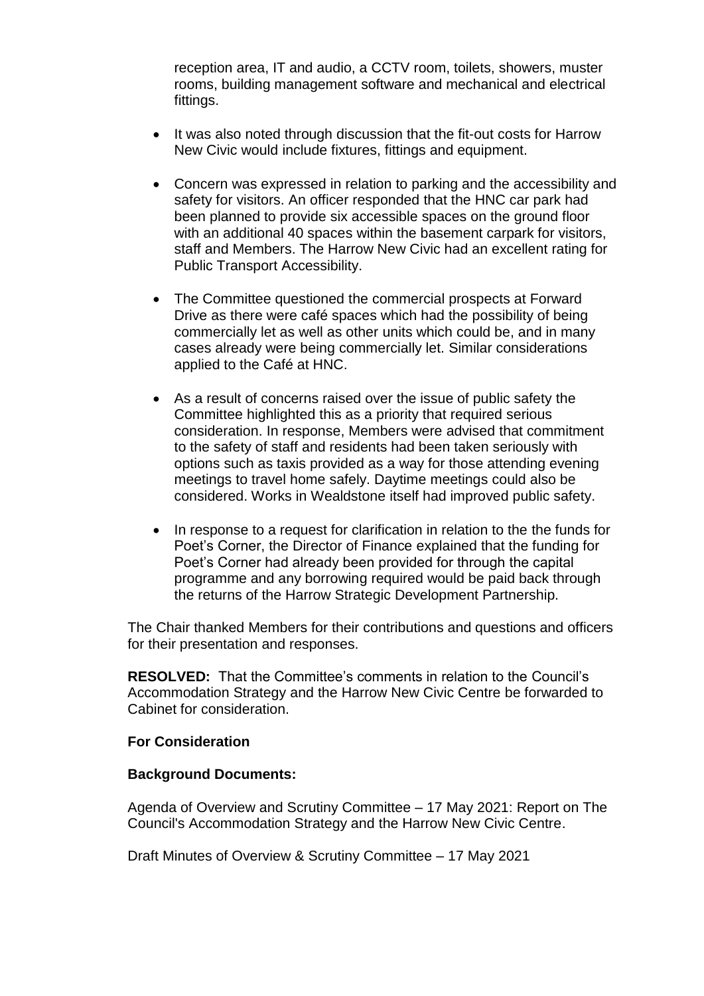reception area, IT and audio, a CCTV room, toilets, showers, muster rooms, building management software and mechanical and electrical fittings.

- It was also noted through discussion that the fit-out costs for Harrow New Civic would include fixtures, fittings and equipment.
- Concern was expressed in relation to parking and the accessibility and safety for visitors. An officer responded that the HNC car park had been planned to provide six accessible spaces on the ground floor with an additional 40 spaces within the basement carpark for visitors, staff and Members. The Harrow New Civic had an excellent rating for Public Transport Accessibility.
- The Committee questioned the commercial prospects at Forward Drive as there were café spaces which had the possibility of being commercially let as well as other units which could be, and in many cases already were being commercially let. Similar considerations applied to the Café at HNC.
- As a result of concerns raised over the issue of public safety the Committee highlighted this as a priority that required serious consideration. In response, Members were advised that commitment to the safety of staff and residents had been taken seriously with options such as taxis provided as a way for those attending evening meetings to travel home safely. Daytime meetings could also be considered. Works in Wealdstone itself had improved public safety.
- In response to a request for clarification in relation to the the funds for Poet's Corner, the Director of Finance explained that the funding for Poet's Corner had already been provided for through the capital programme and any borrowing required would be paid back through the returns of the Harrow Strategic Development Partnership.

The Chair thanked Members for their contributions and questions and officers for their presentation and responses.

**RESOLVED:** That the Committee's comments in relation to the Council's Accommodation Strategy and the Harrow New Civic Centre be forwarded to Cabinet for consideration.

### **For Consideration**

#### **Background Documents:**

Agenda of Overview and Scrutiny Committee – 17 May 2021: Report on The Council's Accommodation Strategy and the Harrow New Civic Centre.

Draft Minutes of Overview & Scrutiny Committee – 17 May 2021